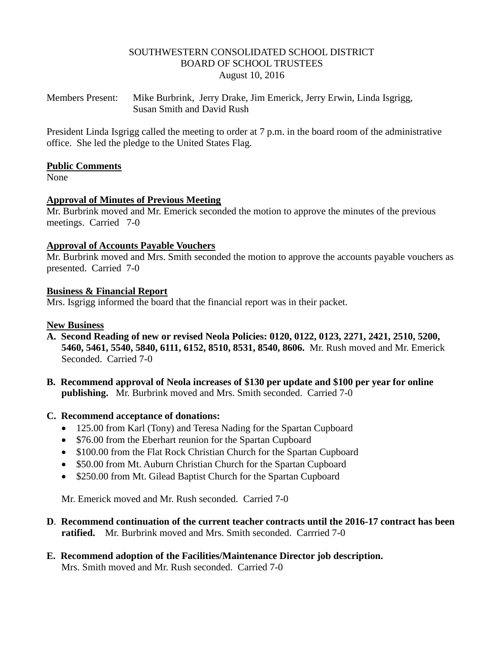### SOUTHWESTERN CONSOLIDATED SCHOOL DISTRICT BOARD OF SCHOOL TRUSTEES August 10, 2016

Members Present: Mike Burbrink, Jerry Drake, Jim Emerick, Jerry Erwin, Linda Isgrigg, Susan Smith and David Rush

President Linda Isgrigg called the meeting to order at 7 p.m. in the board room of the administrative office. She led the pledge to the United States Flag.

### **Public Comments**

None

### **Approval of Minutes of Previous Meeting**

Mr. Burbrink moved and Mr. Emerick seconded the motion to approve the minutes of the previous meetings. Carried 7-0

### **Approval of Accounts Payable Vouchers**

Mr. Burbrink moved and Mrs. Smith seconded the motion to approve the accounts payable vouchers as presented. Carried 7-0

### **Business & Financial Report**

Mrs. Isgrigg informed the board that the financial report was in their packet.

### **New Business**

- **A. Second Reading of new or revised Neola Policies: 0120, 0122, 0123, 2271, 2421, 2510, 5200, 5460, 5461, 5540, 5840, 6111, 6152, 8510, 8531, 8540, 8606.** Mr. Rush moved and Mr. Emerick Seconded. Carried 7-0
- **B. Recommend approval of Neola increases of \$130 per update and \$100 per year for online publishing.** Mr. Burbrink moved and Mrs. Smith seconded. Carried 7-0

### **C. Recommend acceptance of donations:**

- 125.00 from Karl (Tony) and Teresa Nading for the Spartan Cupboard
- \$76.00 from the Eberhart reunion for the Spartan Cupboard
- \$100.00 from the Flat Rock Christian Church for the Spartan Cupboard
- \$50.00 from Mt. Auburn Christian Church for the Spartan Cupboard
- \$250.00 from Mt. Gilead Baptist Church for the Spartan Cupboard

Mr. Emerick moved and Mr. Rush seconded. Carried 7-0

- **D**. **Recommend continuation of the current teacher contracts until the 2016-17 contract has been ratified.** Mr. Burbrink moved and Mrs. Smith seconded. Carrried 7-0
- **E. Recommend adoption of the Facilities/Maintenance Director job description.** Mrs. Smith moved and Mr. Rush seconded. Carried 7-0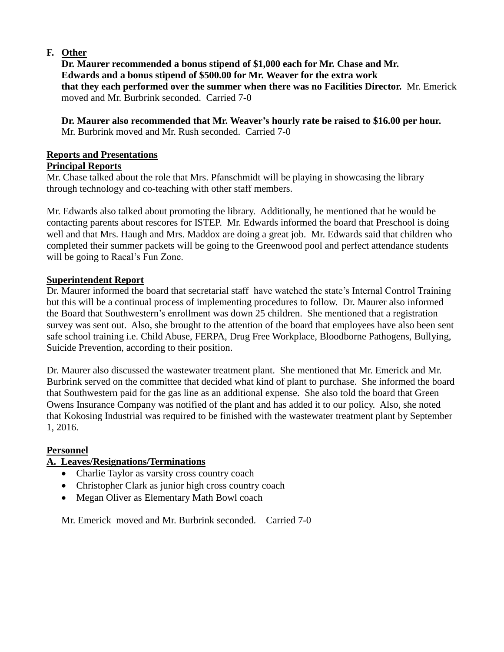# **F. Other**

 **Dr. Maurer recommended a bonus stipend of \$1,000 each for Mr. Chase and Mr. Edwards and a bonus stipend of \$500.00 for Mr. Weaver for the extra work that they each performed over the summer when there was no Facilities Director.** Mr. Emerick moved and Mr. Burbrink seconded. Carried 7-0

 **Dr. Maurer also recommended that Mr. Weaver's hourly rate be raised to \$16.00 per hour.**  Mr. Burbrink moved and Mr. Rush seconded. Carried 7-0

## **Reports and Presentations**

## **Principal Reports**

Mr. Chase talked about the role that Mrs. Pfanschmidt will be playing in showcasing the library through technology and co-teaching with other staff members.

Mr. Edwards also talked about promoting the library. Additionally, he mentioned that he would be contacting parents about rescores for ISTEP. Mr. Edwards informed the board that Preschool is doing well and that Mrs. Haugh and Mrs. Maddox are doing a great job. Mr. Edwards said that children who completed their summer packets will be going to the Greenwood pool and perfect attendance students will be going to Racal's Fun Zone.

## **Superintendent Report**

Dr. Maurer informed the board that secretarial staff have watched the state's Internal Control Training but this will be a continual process of implementing procedures to follow. Dr. Maurer also informed the Board that Southwestern's enrollment was down 25 children. She mentioned that a registration survey was sent out. Also, she brought to the attention of the board that employees have also been sent safe school training i.e. Child Abuse, FERPA, Drug Free Workplace, Bloodborne Pathogens, Bullying, Suicide Prevention, according to their position.

Dr. Maurer also discussed the wastewater treatment plant. She mentioned that Mr. Emerick and Mr. Burbrink served on the committee that decided what kind of plant to purchase. She informed the board that Southwestern paid for the gas line as an additional expense. She also told the board that Green Owens Insurance Company was notified of the plant and has added it to our policy. Also, she noted that Kokosing Industrial was required to be finished with the wastewater treatment plant by September 1, 2016.

### **Personnel**

# **A. Leaves/Resignations/Terminations**

- Charlie Taylor as varsity cross country coach
- Christopher Clark as junior high cross country coach
- Megan Oliver as Elementary Math Bowl coach

Mr. Emerick moved and Mr. Burbrink seconded. Carried 7-0